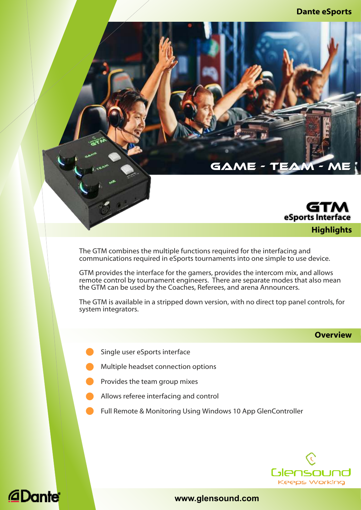#### **Dante eSports**



The GTM combines the multiple functions required for the interfacing and communications required in eSports tournaments into one simple to use device.

GTM provides the interface for the gamers, provides the intercom mix, and allows remote control by tournament engineers. There are separate modes that also mean the GTM can be used by the Coaches, Referees, and arena Announcers.

GAME

The GTM is available in a stripped down version, with no direct top panel controls, for system integrators.

#### **Overview**

- Single user eSports interface
- Multiple headset connection options
- Provides the team group mixes
- l Allows referee interfacing and control
- Full Remote & Monitoring Using Windows 10 App GlenController



## *<u></u>Dante*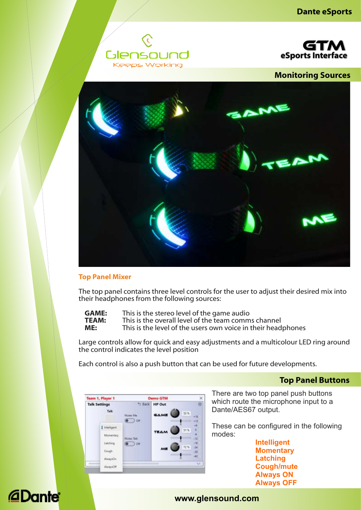



**Monitoring Sources**



#### **Top Panel Mixer**

The top panel contains three level controls for the user to adjust their desired mix into their headphones from the following sources:

| <b>GAME:</b> | This is the stereo level of the game audio                   |
|--------------|--------------------------------------------------------------|
| <b>TEAM:</b> | This is the overall level of the team comms channel          |
| ME:          | This is the level of the users own voice in their headphones |

Large controls allow for quick and easy adjustments and a multicolour LED ring around the control indicates the level position

Each control is also a push button that can be used for future developments.

### **Top Panel Buttons**

There are two top panel push buttons which route the microphone input to a Dante/AES67 output.

These can be configured in the following modes:

> **Momentary Latching Intelligent Cough/mute Always ON Always OFF**

#### Team 1, Player 1  $\times$ **Demo GTM Talk Settings** + Back **HP Out** a. Talk 53% GAME Mutes Me . . 1  $\bullet$  or  $\overline{1}$ | Intelligent 55% Momentary **Litching**  $\bullet$  0  $\bullet$  $n\pi$ County áź. AbsorptCr AlwaysOff

# **@Dante**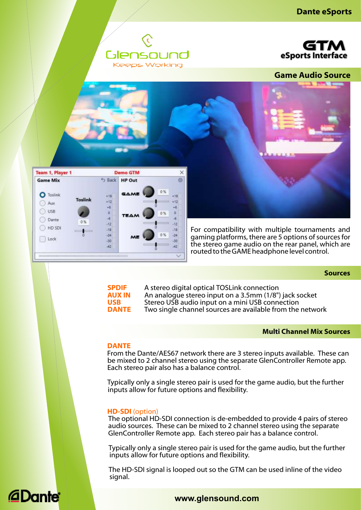







**Sources**



**SPDIF** A stereo digital optical TOSLink connection<br>**AUX IN** An analogue stereo input on a 3.5mm (1/8") **AUX IN** An analogue stereo input on a 3.5mm (1/8") jack socket<br>**USB** Stereo USB audio input on a mini USB connection **USB** Stereo USB audio input on a mini USB connection Two single channel sources are available from the network

#### **Multi Channel Mix Sources**

#### **DANTE**

From the Dante/AES67 network there are 3 stereo inputs available. These can be mixed to 2 channel stereo using the separate GlenController Remote app. Each stereo pair also has a balance control.

Typically only a single stereo pair is used for the game audio, but the further inputs allow for future options and flexibility.

#### **HD-SDI** (option)

The optional HD-SDI connection is de-embedded to provide 4 pairs of stereo audio sources. These can be mixed to 2 channel stereo using the separate GlenController Remote app. Each stereo pair has a balance control.

Typically only a single stereo pair is used for the game audio, but the further inputs allow for future options and flexibility.

The HD-SDI signal is looped out so the GTM can be used inline of the video signal.

### *<u>aDante</u>*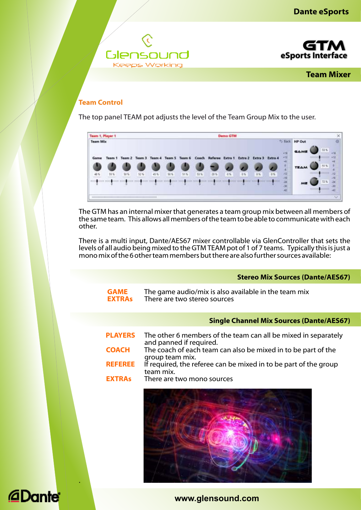



**Team Mixer**

### **Team Control**

The top panel TEAM pot adjusts the level of the Team Group Mix to the user.

|                 | Team 1, Player 1 |     |        |                                    | Demo GTM |     |       |         |       |         |          |         |             |               |      |         |
|-----------------|------------------|-----|--------|------------------------------------|----------|-----|-------|---------|-------|---------|----------|---------|-------------|---------------|------|---------|
| <b>Team Mix</b> |                  |     |        |                                    |          |     |       |         |       |         |          |         |             | 5 Back HP Out |      |         |
|                 |                  |     |        |                                    |          |     |       |         |       |         |          |         | $+15$       | <b>GAME</b>   | 53 N |         |
| Game            | Team 1           |     |        | Team 2 Team 3 Team 4 Team 5 Team 6 |          |     | Coach | Referee | Extra | Extra 2 | Extra 3  | Extra 4 | $-12$<br>֊  |               |      |         |
|                 |                  |     |        |                                    |          |     |       |         |       |         |          |         |             | <b>TEAM</b>   | 51%  |         |
| 48%             | 55%              | 50% | $52\%$ | 磁能                                 | 50%      | 51% | 53%   | 20%     | 0%    | $-0$ %  | $10\,\%$ | 10%     | $+12$<br>18 |               |      | 12      |
|                 |                  |     |        |                                    |          |     |       |         |       |         |          |         | àà.         | ME            | 72%  | $^{34}$ |
|                 |                  |     |        |                                    |          |     |       |         |       |         |          |         |             |               |      |         |
|                 |                  |     |        |                                    |          |     |       |         |       |         |          |         |             |               |      | $\sim$  |

The GTM has an internal mixer that generates a team group mix between all members of the same team. This allows all members of the team to be able to communicate with each other.

There is a multi input, Dante/AES67 mixer controllable via GlenController that sets the levels of all audio being mixed to the GTM TEAM pot of 1 of 7 teams. Typically this is just a mono mix of the 6 other team members but there are also further sources available:

|                              | <b>Stereo Mix Sources (Dante/AES67)</b>                                                   |
|------------------------------|-------------------------------------------------------------------------------------------|
| <b>GAME</b><br><b>EXTRAS</b> | The game audio/mix is also available in the team mix<br>There are two stereo sources      |
|                              | <b>Single Channel Mix Sources (Dante/AES67)</b>                                           |
| <b>PLAYERS</b>               | The other 6 members of the team can all be mixed in separately<br>and panned if required. |
| <b>COACH</b>                 | The coach of each team can also be mixed in to be part of the<br>group team mix.          |
| <b>REFEREE</b>               | If required, the referee can be mixed in to be part of the group<br>team mix.             |
| <b>EXTRAS</b>                | There are two mono sources                                                                |
|                              |                                                                                           |



## **@Dante**

.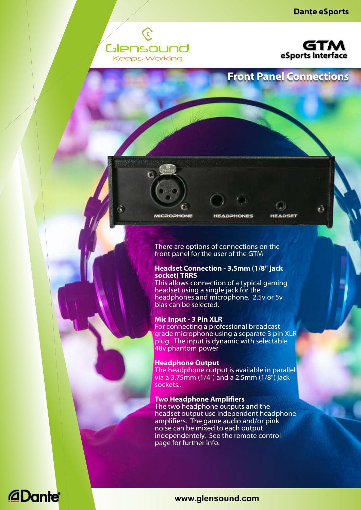



### **Front Panel Connections**

**MICROPHONE** 

**HEADPHONES** 

**HEADSET** 

There are options of connections on the front panel for the user of the GTM

#### **Headset Connection - 3.5mm (1/8" jack socket) TRRS**

This allows connection of a typical gaming headset using a single jack for the headphones and microphone. 2.5y or 5y bias can be selected.

#### **Mic Input - 3 Pin XLR**

For connecting a professional broadcast grade microphone using a separate 3 pin XLR plug. The input is dynamic with selectable 48v phantom power

#### **Headphone Output**

The headphone output is available in parallel via a 3.75mm (1/4") and a 2.5mm (1/8") jack sockets..

#### **Two Headphone Amplifiers**

The two headphone outputs and the headset output use independent headphone amplifiers. The game audio and/or pink noise can be mixed to each output independentely. See the remote control page for further info.

## **@Dante**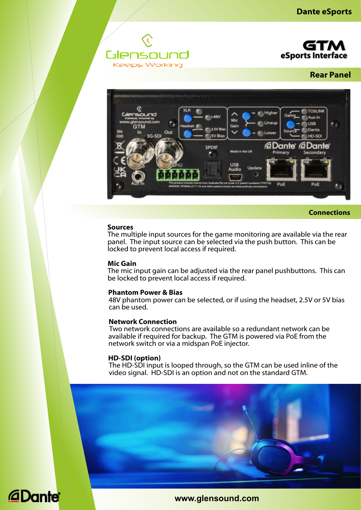



**Rear Panel**



**Connections**

#### **Sources**

The multiple input sources for the game monitoring are available via the rear panel. The input source can be selected via the push button. This can be locked to prevent local access if required.

#### **Mic Gain**

The mic input gain can be adjusted via the rear panel pushbuttons. This can be locked to prevent local access if required.

#### **Phantom Power & Bias**

48V phantom power can be selected, or if using the headset, 2.5V or 5V bias can be used.

#### **Network Connection**

Two network connections are available so a redundant network can be available if required for backup. The GTM is powered via PoE from the network switch or via a midspan PoE injector.

#### **HD-SDI (option)**

The HD-SDI input is looped through, so the GTM can be used inline of the video signal. HD-SDI is an option and not on the standard GTM.

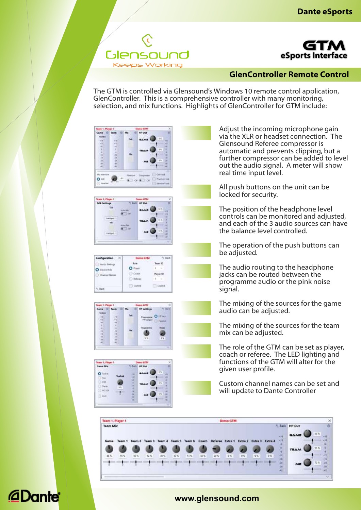



### **GlenController Remote Control**

The GTM is controlled via Glensound's Windows 10 remote control application, GlenController. This is a comprehensive controller with many monitoring, selection, and mix functions. Highlights of GlenController for GTM include:



Adjust the incoming microphone gain via the XLR or headset connection. The Glensound Referee compressor is automatic and prevents clipping, but a further compressor can be added to level out the audio signal. A meter will show real time input level.

All push buttons on the unit can be locked for security.

The position of the headphone level controls can be monitored and adjusted, and each of the 3 audio sources can have the balance level controlled.

The operation of the push buttons can be adjusted.

The audio routing to the headphone jacks can be routed between the programme audio or the pink noise signal.

The mixing of the sources for the game audio can be adjusted.

The mixing of the sources for the team mix can be adjusted.

The role of the GTM can be set as player, coach or referee. The LED lighting and functions of the GTM will alter for the given user profile.

Custom channel names can be set and will update to Dante Controller



## *<u></u>*Dante